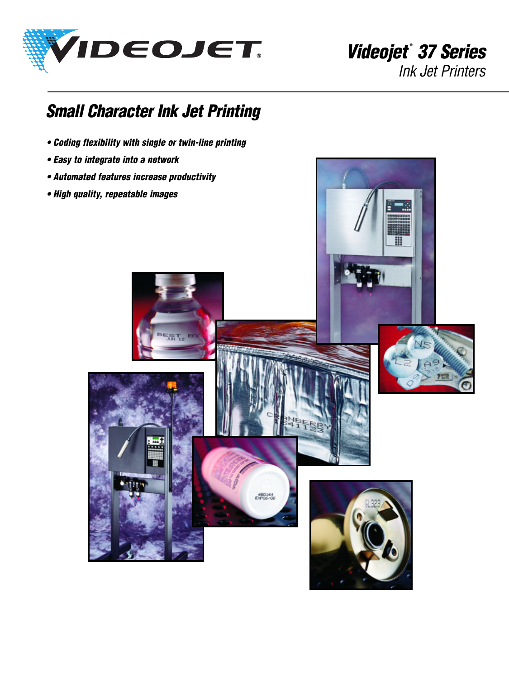

**Videojet® 37 Series** Ink Jet Printers

## **Small Character Ink Jet Printing**

- **Coding flexibility with single or twin-line printing**
- **Easy to integrate into a network**
- **Automated features increase productivity**
- **High quality, repeatable images**

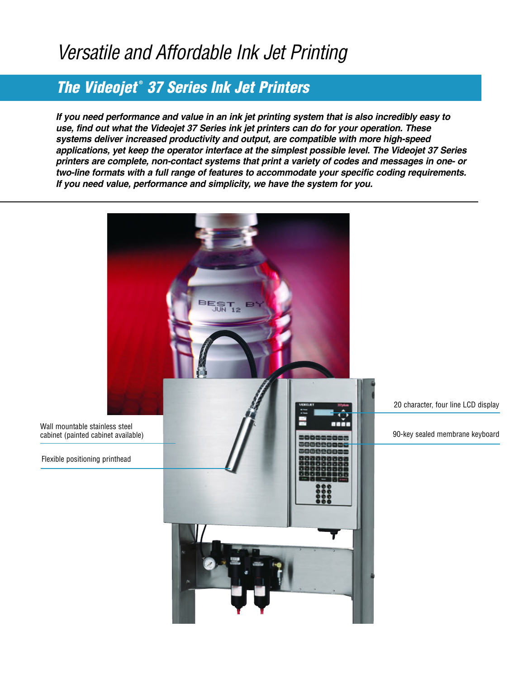## Versatile and Affordable Ink Jet Printing

## **The Videojet® 37 Series Ink Jet Printers**

**If you need performance and value in an ink jet printing system that is also incredibly easy to use, find out what the Videojet 37 Series ink jet printers can do for your operation. These systems deliver increased productivity and output, are compatible with more high-speed applications, yet keep the operator interface at the simplest possible level. The Videojet 37 Series printers are complete, non-contact systems that print a variety of codes and messages in one- or two-line formats with a full range of features to accommodate your specific coding requirements. If you need value, performance and simplicity, we have the system for you.**

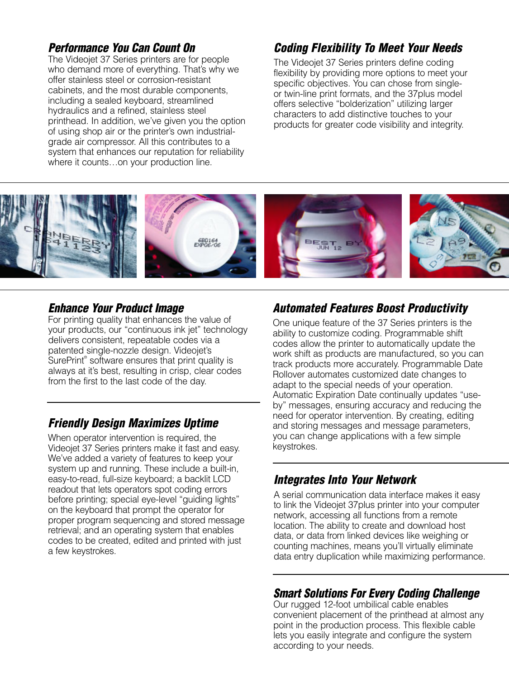### **Performance You Can Count On**

The Videojet 37 Series printers are for people who demand more of everything. That's why we offer stainless steel or corrosion-resistant cabinets, and the most durable components, including a sealed keyboard, streamlined hydraulics and a refined, stainless steel printhead. In addition, we've given you the option of using shop air or the printer's own industrialgrade air compressor. All this contributes to a system that enhances our reputation for reliability where it counts…on your production line.

### **Coding Flexibility To Meet Your Needs**

The Videojet 37 Series printers define coding flexibility by providing more options to meet your specific objectives. You can chose from singleor twin-line print formats, and the 37plus model offers selective "bolderization" utilizing larger characters to add distinctive touches to your products for greater code visibility and integrity.



### **Enhance Your Product Image**

For printing quality that enhances the value of your products, our "continuous ink jet" technology delivers consistent, repeatable codes via a patented single-nozzle design. Videojet's SurePrint® software ensures that print quality is always at it's best, resulting in crisp, clear codes from the first to the last code of the day.

### **Friendly Design Maximizes Uptime**

When operator intervention is required, the Videojet 37 Series printers make it fast and easy. We've added a variety of features to keep your system up and running. These include a built-in, easy-to-read, full-size keyboard; a backlit LCD readout that lets operators spot coding errors before printing; special eye-level "guiding lights" on the keyboard that prompt the operator for proper program sequencing and stored message retrieval; and an operating system that enables codes to be created, edited and printed with just a few keystrokes.

### **Automated Features Boost Productivity**

One unique feature of the 37 Series printers is the ability to customize coding. Programmable shift codes allow the printer to automatically update the work shift as products are manufactured, so you can track products more accurately. Programmable Date Rollover automates customized date changes to adapt to the special needs of your operation. Automatic Expiration Date continually updates "useby" messages, ensuring accuracy and reducing the need for operator intervention. By creating, editing and storing messages and message parameters, you can change applications with a few simple keystrokes.

### **Integrates Into Your Network**

A serial communication data interface makes it easy to link the Videojet 37plus printer into your computer network, accessing all functions from a remote location. The ability to create and download host data, or data from linked devices like weighing or counting machines, means you'll virtually eliminate data entry duplication while maximizing performance.

### **Smart Solutions For Every Coding Challenge**

Our rugged 12-foot umbilical cable enables convenient placement of the printhead at almost any point in the production process. This flexible cable lets you easily integrate and configure the system according to your needs.